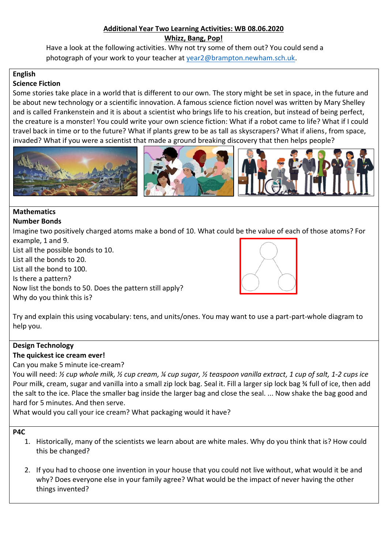#### **Additional Year Two Learning Activities: WB 08.06.2020 Whizz, Bang, Pop!**

Have a look at the following activities. Why not try some of them out? You could send a photograph of your work to your teacher at [year2@brampton.newham.sch.uk.](mailto:year2@brampton.newham.sch.uk)

#### **English Science Fiction**

Some stories take place in a world that is different to our own. The story might be set in space, in the future and be about new technology or a scientific innovation. A famous science fiction novel was written by Mary Shelley and is called Frankenstein and it is about a scientist who brings life to his creation, but instead of being perfect, the creature is a monster! You could write your own science fiction: What if a robot came to life? What if I could travel back in time or to the future? What if plants grew to be as tall as skyscrapers? What if aliens, from space, invaded? What if you were a scientist that made a ground breaking discovery that then helps people?



#### **Mathematics Number Bonds**

Imagine two positively charged atoms make a bond of 10. What could be the value of each of those atoms? For example, 1 and 9.

List all the possible bonds to 10. List all the bonds to 20. List all the bond to 100. Is there a pattern? Now list the bonds to 50. Does the pattern still apply? Why do you think this is?



Try and explain this using vocabulary: tens, and units/ones. You may want to use a part-part-whole diagram to help you.

# **Design Technology**

## **The quickest ice cream ever!**

## Can you make 5 minute ice-cream?

You will need: *½ cup whole milk, ½ cup cream, ¼ cup sugar, ½ teaspoon vanilla extract, 1 cup of salt, 1-2 cups ice* Pour milk, cream, sugar and vanilla into a small zip lock bag. Seal it. Fill a larger sip lock bag ¾ full of ice, then add the salt to the ice. Place the smaller bag inside the larger bag and close the seal. ... Now shake the bag good and hard for 5 minutes. And then serve.

What would you call your ice cream? What packaging would it have?

## **P4C**

- 1. Historically, many of the scientists we learn about are white males. Why do you think that is? How could this be changed?
- 2. If you had to choose one invention in your house that you could not live without, what would it be and why? Does everyone else in your family agree? What would be the impact of never having the other things invented?